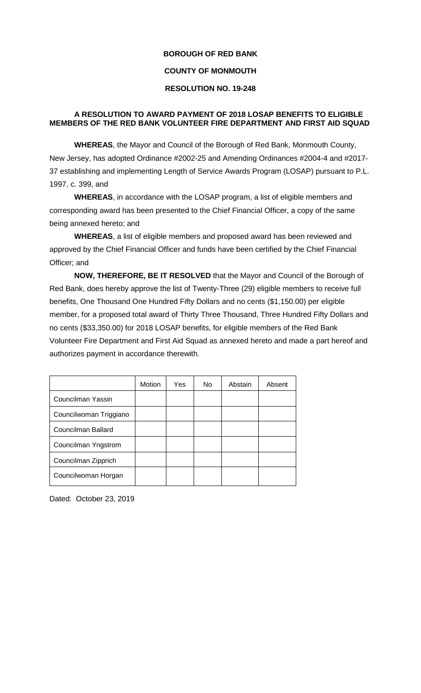## **BOROUGH OF RED BANK**

## **COUNTY OF MONMOUTH**

## **RESOLUTION NO. 19-248**

## **A RESOLUTION TO AWARD PAYMENT OF 2018 LOSAP BENEFITS TO ELIGIBLE MEMBERS OF THE RED BANK VOLUNTEER FIRE DEPARTMENT AND FIRST AID SQUAD**

**WHEREAS**, the Mayor and Council of the Borough of Red Bank, Monmouth County, New Jersey, has adopted Ordinance #2002-25 and Amending Ordinances #2004-4 and #2017- 37 establishing and implementing Length of Service Awards Program (LOSAP) pursuant to P.L. 1997, c. 399, and

**WHEREAS**, in accordance with the LOSAP program, a list of eligible members and corresponding award has been presented to the Chief Financial Officer, a copy of the same being annexed hereto; and

**WHEREAS**, a list of eligible members and proposed award has been reviewed and approved by the Chief Financial Officer and funds have been certified by the Chief Financial Officer; and

**NOW, THEREFORE, BE IT RESOLVED** that the Mayor and Council of the Borough of Red Bank, does hereby approve the list of Twenty-Three (29) eligible members to receive full benefits, One Thousand One Hundred Fifty Dollars and no cents (\$1,150.00) per eligible member, for a proposed total award of Thirty Three Thousand, Three Hundred Fifty Dollars and no cents (\$33,350.00) for 2018 LOSAP benefits, for eligible members of the Red Bank Volunteer Fire Department and First Aid Squad as annexed hereto and made a part hereof and authorizes payment in accordance therewith.

|                        | Motion | Yes | No. | Abstain | Absent |
|------------------------|--------|-----|-----|---------|--------|
| Councilman Yassin      |        |     |     |         |        |
| Councilwoman Triggiano |        |     |     |         |        |
| Councilman Ballard     |        |     |     |         |        |
| Councilman Yngstrom    |        |     |     |         |        |
| Councilman Zipprich    |        |     |     |         |        |
| Councilwoman Horgan    |        |     |     |         |        |

Dated: October 23, 2019